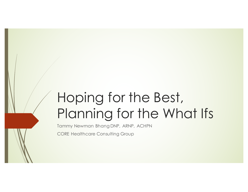# Hoping for the Best, Planning for the What Ifs

Tammy Newman Bhang DNP, ARNP, ACHPN

CORE Healthcare Consulting Group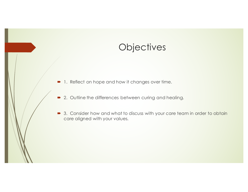## **Objectives**

 $\blacksquare$  1. Reflect on hope and how it changes over time.

- 2. Outline the differences between curing and healing.
- 3. Consider how and what to discuss with your care team in order to obtain care aligned with your values.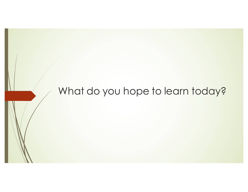# What do you hope to learn today?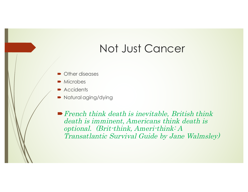# Not Just Cancer

- $\blacksquare$  Other diseases
- $\blacksquare$  Microbes
- $\blacktriangleright$  Accidents
- Natural aging/dying

 $\blacktriangleright$  French think death is inevitable, British think death is imminent, Americans think death is optional. (Brit-think, Ameri-think: A Transatlantic Survival Guide by Jane Walmsley)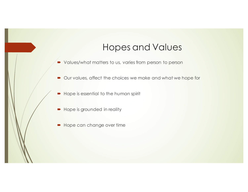#### Hopes and Values

- $\blacktriangleright$  Values/what matters to us, varies from person to person
- Our values, affect the choices we make and what we hope for
- $\blacksquare$  Hope is essential to the human spirit
- Hope is grounded in reality
- $\blacktriangleright$  Hope can change over time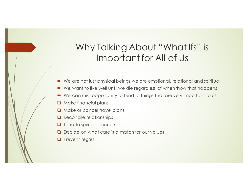## Why Talking About "What Ifs" is Important for All of Us

- We are not just physical beings we are emotional, relational and spiritual
- $\blacktriangleright$  We want to live well until we die regardless of when/how that happens
- We can miss opportunity to tend to things that are very important to us
- $\Box$  Make financial plans
- $\Box$  Make or cancel travel plans
- $\Box$  Reconcile relationships
- $\Box$  Tend to spiritual concerns
- Decide on what care is a match for our values
- **Q** Prevent regret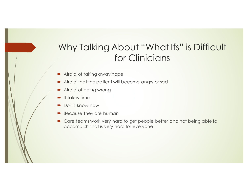#### Why Talking About "What Ifs" is Difficult for Clinicians

- $\blacktriangleright$  Afraid of taking away hope
- Afraid that the patient will become angry or sad
- Afraid of being wrong
- $\blacksquare$  It takes time
- Don't know how
- Because they are human
- Care teams work very hard to get people better and not being able to accomplish that is very hard for everyone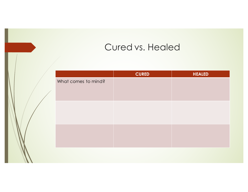## Cured vs. Healed

|                     | <b>CURED</b> | <b>HEALED</b> |
|---------------------|--------------|---------------|
| What comes to mind? |              |               |
|                     |              |               |
|                     |              |               |
|                     |              |               |
|                     |              |               |
|                     |              |               |
|                     |              |               |
|                     |              |               |
|                     |              |               |
|                     |              |               |
|                     |              |               |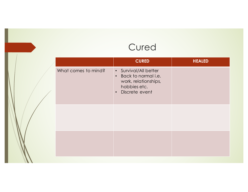# Cured

|                     | <b>CURED</b>                                                                                                                     | <b>HEALED</b> |
|---------------------|----------------------------------------------------------------------------------------------------------------------------------|---------------|
| What comes to mind? | • Survival/All better<br>Back to normal i.e.<br>$\bullet$<br>work, relationships,<br>hobbies etc.<br>Discrete event<br>$\bullet$ |               |
|                     |                                                                                                                                  |               |
|                     |                                                                                                                                  |               |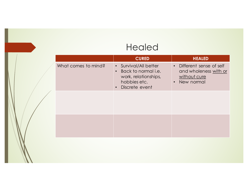#### Healed

|                     | <b>CURED</b>                                                                                                                     | <b>HEALED</b>                                                                                 |
|---------------------|----------------------------------------------------------------------------------------------------------------------------------|-----------------------------------------------------------------------------------------------|
| What comes to mind? | • Survival/All better<br>Back to normal i.e.<br>$\bullet$<br>work, relationships,<br>hobbies etc.<br>Discrete event<br>$\bullet$ | • Different sense of self<br>and wholeness with or<br>without cure<br>New normal<br>$\bullet$ |
|                     |                                                                                                                                  |                                                                                               |
|                     |                                                                                                                                  |                                                                                               |
|                     |                                                                                                                                  |                                                                                               |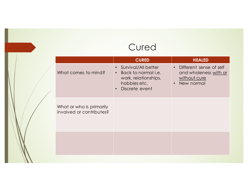# **Cured**

|                                                      | <b>CURED</b>                                                                                                                     | <b>HEALED</b>                                                                                            |
|------------------------------------------------------|----------------------------------------------------------------------------------------------------------------------------------|----------------------------------------------------------------------------------------------------------|
| What comes to mind?                                  | • Survival/All better<br>Back to normal i.e.<br>$\bullet$<br>work, relationships,<br>hobbies etc.<br>Discrete event<br>$\bullet$ | Different sense of self<br>$\bullet$<br>and wholeness with or<br>without cure<br>New normal<br>$\bullet$ |
| What or who is primarily<br>involved or contributes? |                                                                                                                                  |                                                                                                          |
|                                                      |                                                                                                                                  |                                                                                                          |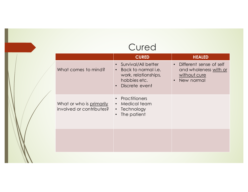## Cured

|                                                      | <b>CURED</b>                                                                                                                          | <b>HEALED</b>                                                                                            |
|------------------------------------------------------|---------------------------------------------------------------------------------------------------------------------------------------|----------------------------------------------------------------------------------------------------------|
| What comes to mind?                                  | Survival/All better<br>$\bullet$<br>Back to normal <i>i.e.</i><br>$\bullet$<br>work, relationships,<br>hobbies etc.<br>Discrete event | Different sense of self<br>$\bullet$<br>and wholeness with or<br>without cure<br>New normal<br>$\bullet$ |
| What or who is primarily<br>involved or contributes? | <b>Practitioners</b><br>Medical team<br>$\bullet$<br>Technology<br>$\bullet$<br>The patient<br>$\bullet$                              |                                                                                                          |
|                                                      |                                                                                                                                       |                                                                                                          |
|                                                      |                                                                                                                                       |                                                                                                          |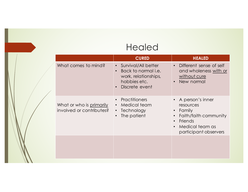#### Healed

|                                                             | <b>CURED</b>                                                                                                                          | <b>HEALED</b>                                                                                                                          |
|-------------------------------------------------------------|---------------------------------------------------------------------------------------------------------------------------------------|----------------------------------------------------------------------------------------------------------------------------------------|
| What comes to mind?                                         | Survival/All better<br>$\bullet$<br>Back to normal <i>i.e.</i><br>work, relationships,<br>hobbies etc.<br>Discrete event<br>$\bullet$ | Different sense of self<br>$\bullet$<br>and wholeness with or<br>without cure<br>New normal                                            |
| What or who is <u>primarily</u><br>involved or contributes? | Practitioners<br>Medical team<br>$\bullet$<br>Technology<br>$\bullet$<br>The patient                                                  | A person's inner<br>resources<br>• Family<br>Faith/faith community<br>Friends<br>Medical team as<br>$\bullet$<br>participant observers |
|                                                             |                                                                                                                                       |                                                                                                                                        |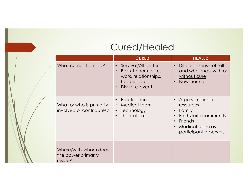## Cured/Healed

|  |                                                        | <b>CURED</b>                                                                                                | <b>HEALED</b>                                                                                                                                                    |
|--|--------------------------------------------------------|-------------------------------------------------------------------------------------------------------------|------------------------------------------------------------------------------------------------------------------------------------------------------------------|
|  | What comes to mind?                                    | Survival/All better<br>Back to normal <i>i.e.</i><br>work, relationships,<br>hobbies etc.<br>Discrete event | Different sense of self<br>$\bullet$<br>and wholeness with or<br>without cure<br>New normal<br>$\bullet$                                                         |
|  | What or who is primarily<br>involved or contributes?   | Practitioners<br>$\bullet$<br>Medical team<br>$\bullet$<br>• Technology<br>The patient                      | • A person's inner<br>resources<br>Family<br>$\bullet$<br>Faith/faith community<br>Friends<br>$\bullet$<br>Medical team as<br>$\bullet$<br>participant observers |
|  | Where/with whom does<br>the power primarily<br>reside? |                                                                                                             |                                                                                                                                                                  |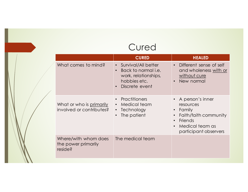## Cured

|  |                                                        | <b>CURED</b>                                                                                                                            | <b>HEALED</b>                                                                                                                                                    |
|--|--------------------------------------------------------|-----------------------------------------------------------------------------------------------------------------------------------------|------------------------------------------------------------------------------------------------------------------------------------------------------------------|
|  | What comes to mind?                                    | • Survival/All better<br>Back to normal <i>i.e.</i><br>$\bullet$<br>work, relationships,<br>hobbies etc.<br>Discrete event<br>$\bullet$ | Different sense of self<br>$\bullet$<br>and wholeness with or<br>without cure<br>New normal<br>$\bullet$                                                         |
|  | What or who is primarily<br>involved or contributes?   | Practitioners<br>Medical team<br>$\bullet$<br>Technology<br>$\bullet$<br>The patient<br>$\bullet$                                       | A person's inner<br>resources<br>• Family<br>Faith/faith community<br>$\bullet$<br>Friends<br>$\bullet$<br>Medical team as<br>$\bullet$<br>participant observers |
|  | Where/with whom does<br>the power primarily<br>reside? | The medical team                                                                                                                        |                                                                                                                                                                  |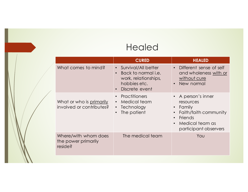## Healed

|                                                        | <b>CURED</b>                                                                                                                                       | <b>HEALED</b>                                                                                                                                                                        |
|--------------------------------------------------------|----------------------------------------------------------------------------------------------------------------------------------------------------|--------------------------------------------------------------------------------------------------------------------------------------------------------------------------------------|
| What comes to mind?                                    | Survival/All better<br>$\bullet$<br>Back to normal <i>i.e.</i><br>$\bullet$<br>work, relationships,<br>hobbies etc.<br>Discrete event<br>$\bullet$ | Different sense of self<br>$\bullet$<br>and wholeness with or<br>without cure<br>New normal                                                                                          |
| What or who is primarily<br>involved or contributes?   | Practitioners<br>$\bullet$<br>Medical team<br>$\bullet$<br>• Technology<br>The patient                                                             | • A person's inner<br>resources<br><b>Family</b><br>$\bullet$<br>Faith/faith community<br>$\bullet$<br>Friends<br>$\bullet$<br>Medical team as<br>$\bullet$<br>participant observers |
| Where/with whom does<br>the power primarily<br>reside? | The medical team                                                                                                                                   | You                                                                                                                                                                                  |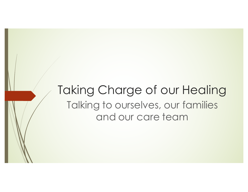Taking Charge of our Healing Talking to ourselves, our families and our care team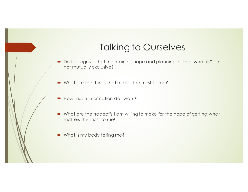## Talking to Ourselves

- Do I recognize that maintaining hope and planning for the "what ifs" are not mutually exclusive?
- $\blacksquare$  What are the things that matter the most to me?
- $\blacksquare$  How much information do I want?
- What are the tradeoffs I am willing to make for the hope of getting what matters the most to me?
- What is my body telling me?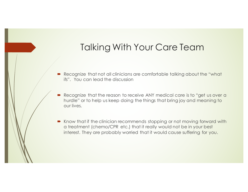## Talking With Your Care Team

- Recognize that not all clinicians are comfortable talking about the "what ifs". You can lead the discussion
- Recognize that the reason to receive ANY medical care is to "get us over a hurdle" or to help us keep doing the things that bring joy and meaning to our lives.
- Know that if the clinician recommends stopping or not moving forward with a treatment (chemo/CPR etc.) that it really would not be in your best interest. They are probably worried that it would cause suffering for you.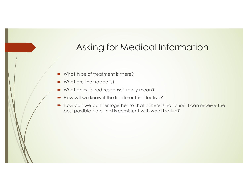## Asking for Medical Information

- What type of treatment is there?
- What are the tradeoffs?
- What does "good response" really mean?
- $\blacksquare$  How will we know if the treatment is effective?
- How can we partner together so that if there is no "cure" I can receive the best possible care that is consistent with what I value?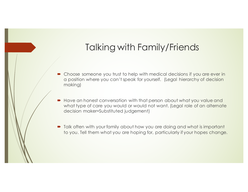## Talking with Family/Friends

- Choose someone you trust to help with medical decisions if you are ever in a position where you can't speak for yourself. (Legal hierarchy of decision making)
- Have an honest conversation with that person about what you value and what type of care you would or would not want. (Legal role of an alternate decision maker=Substituted judgement)
- Talk often with your family about how you are doing and what is important to you. Tell them what you are hoping for, particularly if your hopes change.